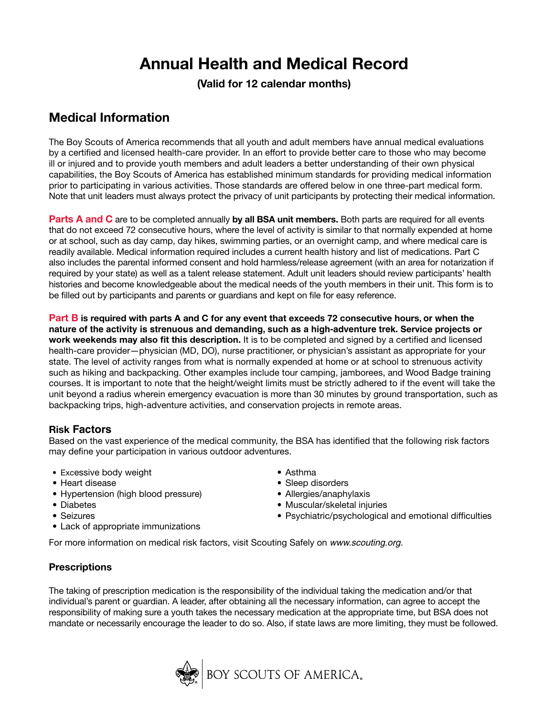# **Annual Health and Medical Record**

**(Valid for 12 calendar months)**

# **Medical Information**

The Boy Scouts of America recommends that all youth and adult members have annual medical evaluations by a certified and licensed health-care provider. In an effort to provide better care to those who may become ill or injured and to provide youth members and adult leaders a better understanding of their own physical capabilities, the Boy Scouts of America has established minimum standards for providing medical information prior to participating in various activities. Those standards are offered below in one three-part medical form. Note that unit leaders must always protect the privacy of unit participants by protecting their medical information.

**Parts A and C** are to be completed annually by all **BSA unit members.** Both parts are required for all events that do not exceed 72 consecutive hours, where the level of activity is similar to that normally expended at home or at school, such as day camp, day hikes, swimming parties, or an overnight camp, and where medical care is readily available. Medical information required includes a current health history and list of medications. Part C also includes the parental informed consent and hold harmless/release agreement (with an area for notarization if required by your state) as well as a talent release statement. Adult unit leaders should review participants' health histories and become knowledgeable about the medical needs of the youth members in their unit. This form is to be filled out by participants and parents or guardians and kept on file for easy reference.

**Part B is required with parts A and C for any event that exceeds 72 consecutive hours, or when the nature of the activity is strenuous and demanding, such as a high-adventure trek. Service projects or work weekends may also fit this description.** It is to be completed and signed by a certified and licensed health-care provider—physician (MD, DO), nurse practitioner, or physician's assistant as appropriate for your state. The level of activity ranges from what is normally expended at home or at school to strenuous activity such as hiking and backpacking. Other examples include tour camping, jamborees, and Wood Badge training courses. It is important to note that the height/weight limits must be strictly adhered to if the event will take the unit beyond a radius wherein emergency evacuation is more than 30 minutes by ground transportation, such as backpacking trips, high-adventure activities, and conservation projects in remote areas.

# **Risk Factors**

Based on the vast experience of the medical community, the BSA has identified that the following risk factors may define your participation in various outdoor adventures.

- Excessive body weight
- •Heart disease
- Hypertension (high blood pressure)
- •Diabetes
- Seizures
- •Lack of appropriate immunizations
- •Asthma
- •Sleep disorders
- Allergies/anaphylaxis
- •Muscular/skeletal injuries
- Psychiatric/psychological and emotional difficulties

For more information on medical risk factors, visit Scouting Safely on www.scouting.org.

# **Prescriptions**

The taking of prescription medication is the responsibility of the individual taking the medication and/or that individual's parent or guardian. A leader, after obtaining all the necessary information, can agree to accept the responsibility of making sure a youth takes the necessary medication at the appropriate time, but BSA does not mandate or necessarily encourage the leader to do so. Also, if state laws are more limiting, they must be followed.

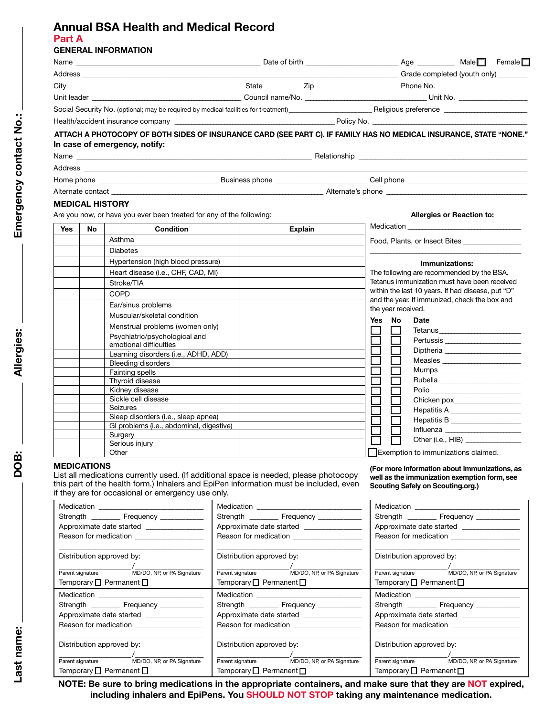# **Annual BSA Health and Medical Record Part A**

# **GENERAL INFORMATION**

| ATTACH A PHOTOCOPY OF BOTH SIDES OF INSURANCE CARD (SEE PART C). IF FAMILY HAS NO MEDICAL INSURANCE, STATE "NONE."<br>In case of emergency, notify:                                                                            |  |  |  |  |
|--------------------------------------------------------------------------------------------------------------------------------------------------------------------------------------------------------------------------------|--|--|--|--|
|                                                                                                                                                                                                                                |  |  |  |  |
|                                                                                                                                                                                                                                |  |  |  |  |
|                                                                                                                                                                                                                                |  |  |  |  |
| Alternate contact example and the set of the set of the set of the set of the set of the set of the set of the set of the set of the set of the set of the set of the set of the set of the set of the set of the set of the s |  |  |  |  |
|                                                                                                                                                                                                                                |  |  |  |  |
| <b>MEDICAL HISTORY</b>                                                                                                                                                                                                         |  |  |  |  |

| <b>Yes</b> | No | <b>Condition</b>                                        | <b>Explain</b> | Medication |                    |                                                   |
|------------|----|---------------------------------------------------------|----------------|------------|--------------------|---------------------------------------------------|
|            |    | Asthma                                                  |                |            |                    | Food, Plants, or Insect Bites                     |
|            |    | <b>Diabetes</b>                                         |                |            |                    |                                                   |
|            |    | Hypertension (high blood pressure)                      |                |            |                    | Immunizations:                                    |
|            |    | Heart disease (i.e., CHF, CAD, MI)                      |                |            |                    | The following are recommended by the BSA.         |
|            |    | Stroke/TIA                                              |                |            |                    | Tetanus immunization must have been received      |
|            |    | <b>COPD</b>                                             |                |            |                    | within the last 10 years. If had disease, put "D" |
|            |    | Ear/sinus problems                                      |                |            |                    | and the year. If immunized, check the box and     |
|            |    | Muscular/skeletal condition                             |                |            | the year received. |                                                   |
|            |    | Menstrual problems (women only)                         |                | Yes        | <b>No</b>          | <b>Date</b>                                       |
|            |    | Psychiatric/psychological and<br>emotional difficulties |                |            |                    | Tetanus                                           |
|            |    | Learning disorders (i.e., ADHD, ADD)                    |                |            |                    |                                                   |
|            |    | <b>Bleeding disorders</b>                               |                |            |                    |                                                   |
|            |    | Fainting spells                                         |                |            |                    |                                                   |
|            |    | Thyroid disease                                         |                |            |                    |                                                   |
|            |    | Kidney disease                                          |                |            |                    | Polio                                             |
|            |    | Sickle cell disease                                     |                |            |                    |                                                   |
|            |    | Seizures                                                |                |            |                    | Hepatitis A _______________________               |
|            |    | Sleep disorders (i.e., sleep apnea)                     |                |            |                    | Hepatitis B                                       |
|            |    | GI problems (i.e., abdominal, digestive)                |                |            |                    |                                                   |
|            |    | Surgery                                                 |                |            |                    | Other (i.e., HIB) _________________               |
|            |    | Serious injury                                          |                |            |                    |                                                   |
|            |    | Other                                                   |                |            |                    | Exemption to immunizations claimed.               |

#### **MEDICATIONS**

List all medications currently used. (If additional space is needed, please photocopy this part of the health form.) Inhalers and EpiPen information must be included, even if they are for occasional or emergency use only.

**(For more information about immunizations, as well as the immunization exemption form, see Scouting Safely on Scouting.org.)**

| Medication ______________________________     | Medication _________________________________  | Medication _____________________________    |  |  |
|-----------------------------------------------|-----------------------------------------------|---------------------------------------------|--|--|
| Strength Frequency                            | Strength ____________ Frequency _____________ | Strength Frequency                          |  |  |
|                                               | Approximate date started ________________     |                                             |  |  |
|                                               | Reason for medication ____________________    |                                             |  |  |
|                                               |                                               |                                             |  |  |
| Distribution approved by:                     | Distribution approved by:                     | Distribution approved by:                   |  |  |
|                                               |                                               |                                             |  |  |
| Parent signature MD/DO, NP, or PA Signature   | Parent signature MD/DO, NP, or PA Signature   | Parent signature MD/DO, NP, or PA Signature |  |  |
| Temporary $\Box$ Permanent $\Box$             | Temporary $\Box$ Permanent $\Box$             | Temporary $\Box$ Permanent $\Box$           |  |  |
| Medication ______________________________     | Medication _______________________________    | Medication _____________________________    |  |  |
| Strength ____________ Frequency _____________ | Strength ____________ Frequency _____________ | Strength Frequency                          |  |  |
| Approximate date started                      | Approximate date started ________________     | Approximate date started                    |  |  |
| Reason for medication <b>contracts</b>        | Reason for medication                         | Reason for medication                       |  |  |
|                                               |                                               |                                             |  |  |
| Distribution approved by:                     | Distribution approved by:                     | Distribution approved by:                   |  |  |
|                                               |                                               |                                             |  |  |
| Parent signature MD/DO, NP, or PA Signature   | Parent signature MD/DO, NP, or PA Signature   | Parent signature MD/DO, NP, or PA Signature |  |  |
| Temporary $\Box$ Permanent $\Box$             | Temporary $\Box$ Permanent $\Box$             | Temporary $\Box$ Permanent $\Box$           |  |  |

**NOTE: Be sure to bring medications in the appropriate containers, and make sure that they are NOT expired, including inhalers and EpiPens. You SHOULD NOT STOP taking any maintenance medication.**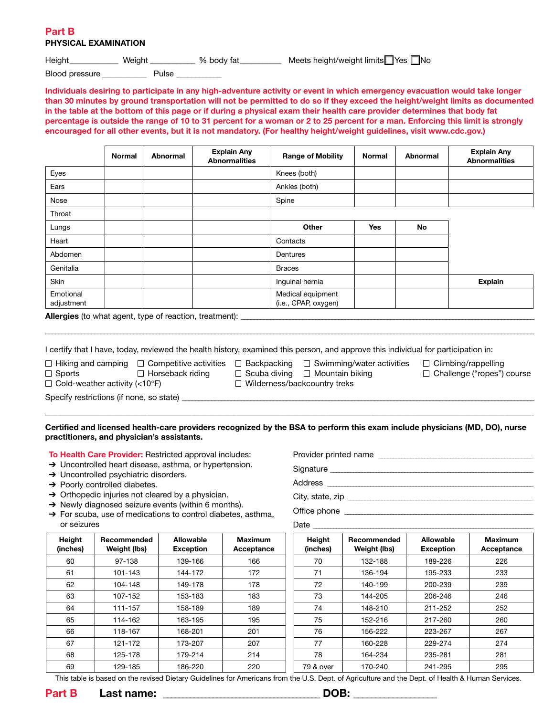# **Part B PHYSICAL EXAMINATION**

Height Weight Weight Weight Mets height/weight limits Yes No

Blood pressure extending Pulse

**Individuals desiring to participate in any high-adventure activity or event in which emergency evacuation would take longer than 30 minutes by ground transportation will not be permitted to do so if they exceed the height/weight limits as documented in the table at the bottom of this page or if during a physical exam their health care provider determines that body fat percentage is outside the range of 10 to 31 percent for a woman or 2 to 25 percent for a man. Enforcing this limit is strongly encouraged for all other events, but it is not mandatory. (For healthy height/weight guidelines, visit www.cdc.gov.)**

|                                                                                                                                                                                            | <b>Normal</b> | <b>Abnormal</b> |  | <b>Explain Any</b><br><b>Abnormalities</b> |                                                                                                                                                    | <b>Range of Mobility</b> | <b>Normal</b> | <b>Abnormal</b> |  | <b>Explain Any</b><br><b>Abnormalities</b> |
|--------------------------------------------------------------------------------------------------------------------------------------------------------------------------------------------|---------------|-----------------|--|--------------------------------------------|----------------------------------------------------------------------------------------------------------------------------------------------------|--------------------------|---------------|-----------------|--|--------------------------------------------|
| Eyes                                                                                                                                                                                       |               |                 |  |                                            | Knees (both)                                                                                                                                       |                          |               |                 |  |                                            |
| Ears                                                                                                                                                                                       |               |                 |  |                                            | Ankles (both)                                                                                                                                      |                          |               |                 |  |                                            |
| Nose                                                                                                                                                                                       |               |                 |  |                                            | Spine                                                                                                                                              |                          |               |                 |  |                                            |
| Throat                                                                                                                                                                                     |               |                 |  |                                            |                                                                                                                                                    |                          |               |                 |  |                                            |
| Lungs                                                                                                                                                                                      |               |                 |  |                                            |                                                                                                                                                    | Other                    | <b>Yes</b>    | No              |  |                                            |
| Heart                                                                                                                                                                                      |               |                 |  |                                            | Contacts                                                                                                                                           |                          |               |                 |  |                                            |
| Abdomen                                                                                                                                                                                    |               |                 |  |                                            | Dentures                                                                                                                                           |                          |               |                 |  |                                            |
| Genitalia                                                                                                                                                                                  |               |                 |  |                                            | <b>Braces</b>                                                                                                                                      |                          |               |                 |  |                                            |
| <b>Skin</b>                                                                                                                                                                                |               |                 |  |                                            | Inquinal hernia                                                                                                                                    |                          |               |                 |  | <b>Explain</b>                             |
| Emotional<br>adjustment                                                                                                                                                                    |               |                 |  |                                            | (i.e., CPAP, oxygen)                                                                                                                               | Medical equipment        |               |                 |  |                                            |
| <b>Allergies</b> (to what agent, type of reaction, treatment):                                                                                                                             |               |                 |  |                                            |                                                                                                                                                    |                          |               |                 |  |                                            |
|                                                                                                                                                                                            |               |                 |  |                                            |                                                                                                                                                    |                          |               |                 |  |                                            |
| I certify that I have, today, reviewed the health history, examined this person, and approve this individual for participation in:                                                         |               |                 |  |                                            |                                                                                                                                                    |                          |               |                 |  |                                            |
| $\Box$ Hiking and camping $\Box$ Competitive activities $\Box$ Backpacking $\Box$ Swimming/water activities<br>□ Horseback riding<br>$\Box$ Sports<br>$\Box$ Cold-weather activity (<10°F) |               |                 |  |                                            | $\Box$ Climbing/rappelling<br>$\Box$ Scuba diving<br>$\Box$ Mountain biking<br>$\Box$ Challenge ("ropes") course<br>□ Wilderness/backcountry treks |                          |               |                 |  |                                            |
| Specify restrictions (if none, so state) ____________                                                                                                                                      |               |                 |  |                                            |                                                                                                                                                    |                          |               |                 |  |                                            |

**Certified and licensed health-care providers recognized by the BSA to perform this exam include physicians (MD, DO), nurse practitioners, and physician's assistants.** 

**To Health Care Provider:** Restricted approval includes:

- → Uncontrolled heart disease, asthma, or hypertension.
- → Uncontrolled psychiatric disorders.
- → Poorly controlled diabetes.

**Height (inches)**

- → Orthopedic injuries not cleared by a physician.
- → Newly diagnosed seizure events (within 6 months).
- ➔ For scuba, use of medications to control diabetes, asthma, or seizures

| Provider printed name |  |
|-----------------------|--|
| Signature             |  |

Address \_\_\_\_\_\_\_\_\_\_\_\_\_\_\_\_\_\_\_\_\_\_\_\_\_\_\_\_\_\_\_\_\_\_\_\_\_\_\_\_\_\_\_\_\_\_\_\_\_\_\_\_\_\_\_\_\_\_\_\_\_\_\_\_\_\_\_\_\_\_\_\_

City, state, zip \_\_\_\_\_\_\_\_\_\_\_\_\_\_\_\_\_\_\_\_\_\_\_\_\_\_\_\_\_\_\_\_\_\_\_\_\_\_\_\_\_\_\_\_\_\_\_\_\_\_\_\_\_\_\_\_\_\_\_\_\_\_\_\_\_

Office phone \_\_\_\_\_\_\_\_\_\_\_\_\_\_\_\_\_\_\_\_\_\_\_\_\_\_\_\_\_\_\_\_\_\_\_\_\_\_\_\_\_\_\_\_\_\_\_\_\_\_\_\_\_\_\_\_\_\_\_\_\_\_\_\_\_\_

Date

| eight<br>ches) | Recommended<br>Weight (lbs) | Allowable<br><b>Exception</b> | <b>Maximum</b><br>Acceptance | Height<br>(inches) | Recommended<br>Weight (lbs) | Allowable<br><b>Exception</b> | <b>Maximum</b><br>Acceptance |
|----------------|-----------------------------|-------------------------------|------------------------------|--------------------|-----------------------------|-------------------------------|------------------------------|
| 60             | 97-138                      | 139-166                       | 166                          | 70                 | 132-188                     | 189-226                       | 226                          |
| 61             | 101-143                     | 144-172                       | 172                          | 71                 | 136-194                     | 195-233                       | 233                          |
| 62             | 104-148                     | 149-178                       | 178                          | 72                 | 140-199                     | 200-239                       | 239                          |
| 63             | 107-152                     | 153-183                       | 183                          | 73                 | 144-205                     | 206-246                       | 246                          |
| 64             | 111-157                     | 158-189                       | 189                          | 74                 | 148-210                     | 211-252                       | 252                          |
| 65             | 114-162                     | 163-195                       | 195                          | 75                 | 152-216                     | 217-260                       | 260                          |
| 66             | 118-167                     | 168-201                       | 201                          | 76                 | 156-222                     | 223-267                       | 267                          |
| 67             | 121-172                     | 173-207                       | 207                          | 77                 | 160-228                     | 229-274                       | 274                          |
| 68             | 125-178                     | 179-214                       | 214                          | 78                 | 164-234                     | 235-281                       | 281                          |
| 69             | 129-185                     | 186-220                       | 220                          | 79 & over          | 170-240                     | 241-295                       | 295                          |

This table is based on the revised Dietary Guidelines for Americans from the U.S. Dept. of Agriculture and the Dept. of Health & Human Services.